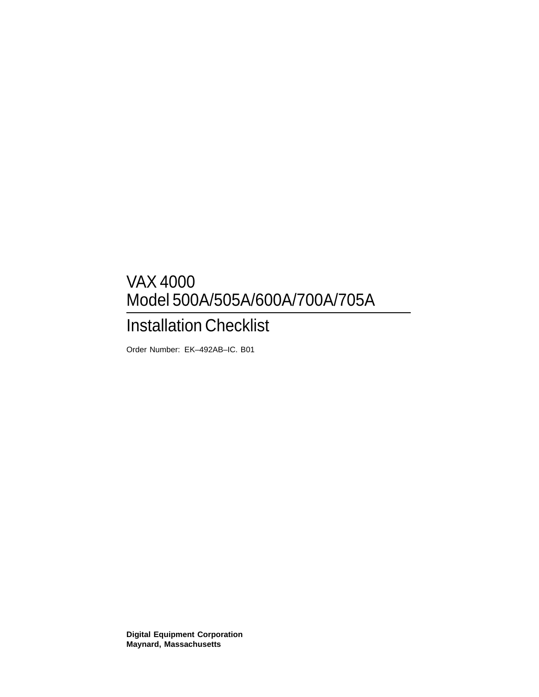# VAX 4000 Model 500A/505A/600A/700A/705A

# Installation Checklist

Order Number: EK–492AB–IC. B01

**Digital Equipment Corporation Maynard, Massachusetts**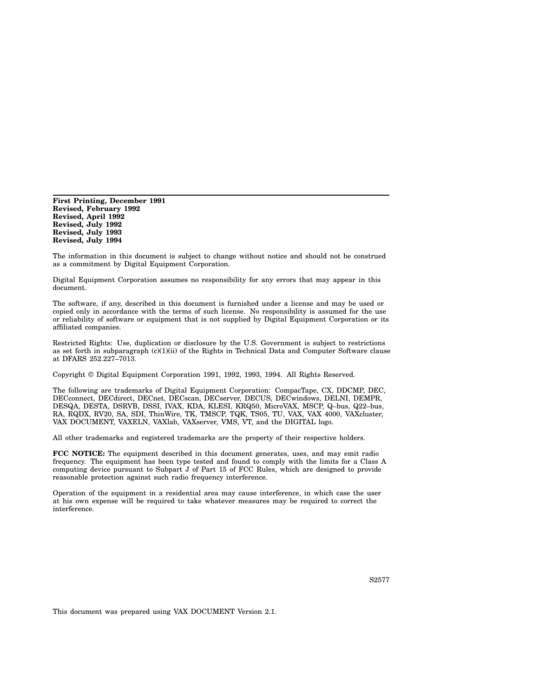**First Printing, December 1991 Revised, February 1992 Revised, April 1992 Revised, July 1992 Revised, July 1993 Revised, July 1994**

The information in this document is subject to change without notice and should not be construed as a commitment by Digital Equipment Corporation.

Digital Equipment Corporation assumes no responsibility for any errors that may appear in this document.

The software, if any, described in this document is furnished under a license and may be used or copied only in accordance with the terms of such license. No responsibility is assumed for the use or reliability of software or equipment that is not supplied by Digital Equipment Corporation or its affiliated companies.

Restricted Rights: Use, duplication or disclosure by the U.S. Government is subject to restrictions as set forth in subparagraph (c)(1)(ii) of the Rights in Technical Data and Computer Software clause at DFARS 252.227–7013.

Copyright © Digital Equipment Corporation 1991, 1992, 1993, 1994. All Rights Reserved.

The following are trademarks of Digital Equipment Corporation: CompacTape, CX, DDCMP, DEC, DECconnect, DECdirect, DECnet, DECscan, DECserver, DECUS, DECwindows, DELNI, DEMPR, DESQA, DESTA, DSRVB, DSSI, IVAX, KDA, KLESI, KRQ50, MicroVAX, MSCP, Q–bus, Q22–bus, RA, RQDX, RV20, SA, SDI, ThinWire, TK, TMSCP, TQK, TS05, TU, VAX, VAX 4000, VAXcluster, VAX DOCUMENT, VAXELN, VAXlab, VAXserver, VMS, VT, and the DIGITAL logo.

All other trademarks and registered trademarks are the property of their respective holders.

**FCC NOTICE:** The equipment described in this document generates, uses, and may emit radio frequency. The equipment has been type tested and found to comply with the limits for a Class A computing device pursuant to Subpart J of Part 15 of FCC Rules, which are designed to provide reasonable protection against such radio frequency interference.

Operation of the equipment in a residential area may cause interference, in which case the user at his own expense will be required to take whatever measures may be required to correct the interference.

This document was prepared using VAX DOCUMENT Version 2.1.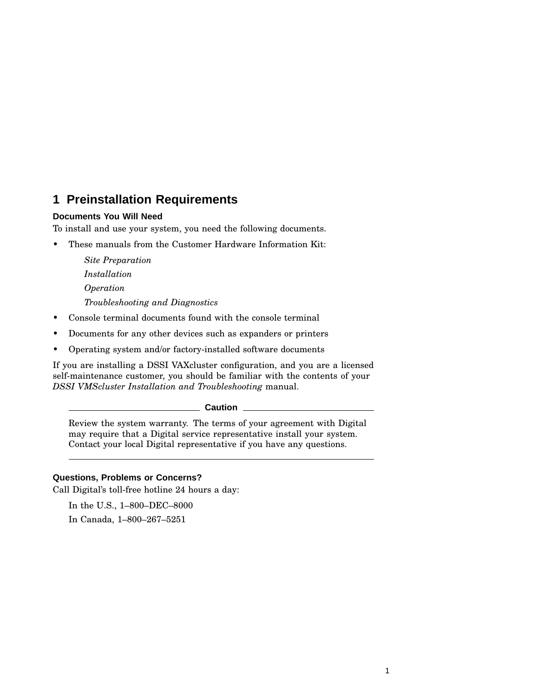# **1 Preinstallation Requirements**

#### **Documents You Will Need**

To install and use your system, you need the following documents.

• These manuals from the Customer Hardware Information Kit:

*Site Preparation Installation Operation Troubleshooting and Diagnostics*

- Console terminal documents found with the console terminal
- Documents for any other devices such as expanders or printers
- Operating system and/or factory-installed software documents

If you are installing a DSSI VAXcluster configuration, and you are a licensed self-maintenance customer, you should be familiar with the contents of your *DSSI VMScluster Installation and Troubleshooting* manual.

**Caution**

Review the system warranty. The terms of your agreement with Digital may require that a Digital service representative install your system. Contact your local Digital representative if you have any questions.

#### **Questions, Problems or Concerns?**

Call Digital's toll-free hotline 24 hours a day:

In the U.S., 1–800–DEC–8000 In Canada, 1–800–267–5251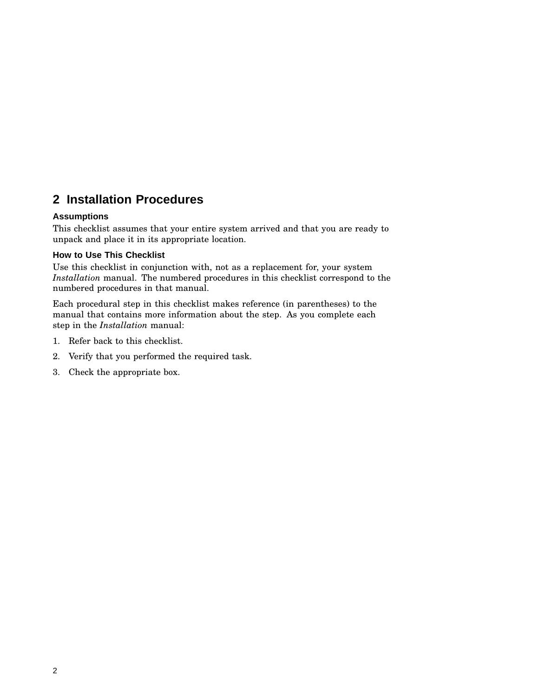# **2 Installation Procedures**

#### **Assumptions**

This checklist assumes that your entire system arrived and that you are ready to unpack and place it in its appropriate location.

#### **How to Use This Checklist**

Use this checklist in conjunction with, not as a replacement for, your system *Installation* manual. The numbered procedures in this checklist correspond to the numbered procedures in that manual.

Each procedural step in this checklist makes reference (in parentheses) to the manual that contains more information about the step. As you complete each step in the *Installation* manual:

- 1. Refer back to this checklist.
- 2. Verify that you performed the required task.
- 3. Check the appropriate box.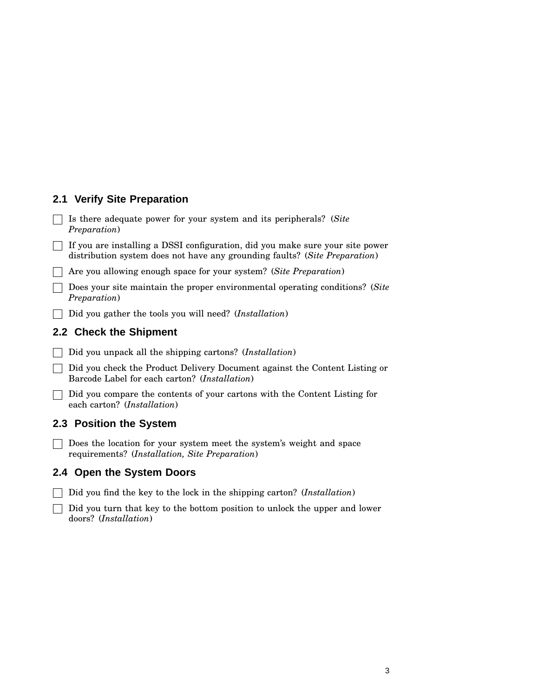## **2.1 Verify Site Preparation**

Is there adequate power for your system and its peripherals? (*Site Preparation*)

If you are installing a DSSI configuration, did you make sure your site power distribution system does not have any grounding faults? (*Site Preparation*)

Are you allowing enough space for your system? (*Site Preparation*)

Does your site maintain the proper environmental operating conditions? (*Site Preparation*)

Did you gather the tools you will need? (*Installation*)

#### **2.2 Check the Shipment**

Did you unpack all the shipping cartons? (*Installation*)

Did you check the Product Delivery Document against the Content Listing or Barcode Label for each carton? (*Installation*)

Did you compare the contents of your cartons with the Content Listing for each carton? (*Installation*)

#### **2.3 Position the System**

Does the location for your system meet the system's weight and space requirements? (*Installation, Site Preparation*)

#### **2.4 Open the System Doors**

Did you find the key to the lock in the shipping carton? (*Installation*)

 $\Box$  Did you turn that key to the bottom position to unlock the upper and lower doors? (*Installation*)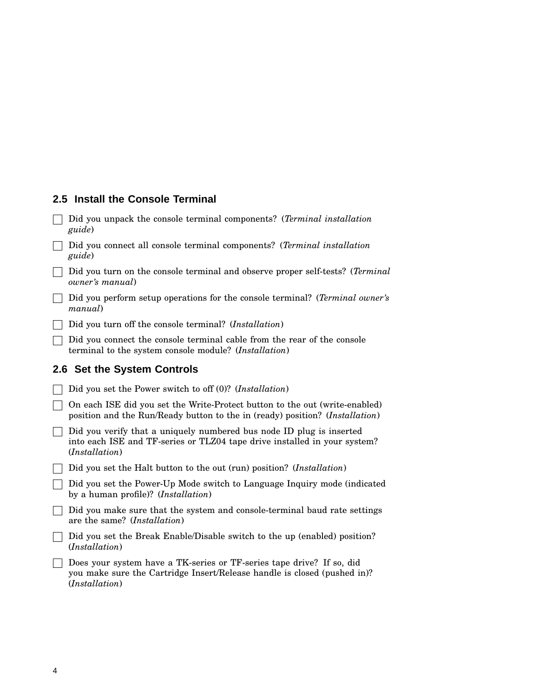#### **2.5 Install the Console Terminal**

- Did you unpack the console terminal components? (*Terminal installation guide*)
- Did you connect all console terminal components? (*Terminal installation guide*)
- Did you turn on the console terminal and observe proper self-tests? (*Terminal owner's manual*)
- Did you perform setup operations for the console terminal? (*Terminal owner's manual*)
- Did you turn off the console terminal? (*Installation*)
- Did you connect the console terminal cable from the rear of the console terminal to the system console module? (*Installation*)

## **2.6 Set the System Controls**

Did you set the Power switch to off (0)? (*Installation*) On each ISE did you set the Write-Protect button to the out (write-enabled) position and the Run/Ready button to the in (ready) position? (*Installation*)

- $\Box$  Did you verify that a uniquely numbered bus node ID plug is inserted into each ISE and TF-series or TLZ04 tape drive installed in your system? (*Installation*)
- Did you set the Halt button to the out (run) position? (*Installation*)
- Did you set the Power-Up Mode switch to Language Inquiry mode (indicated by a human profile)? (*Installation*)
- Did you make sure that the system and console-terminal baud rate settings are the same? (*Installation*)
- □ Did you set the Break Enable/Disable switch to the up (enabled) position? (*Installation*)
- □ Does your system have a TK-series or TF-series tape drive? If so, did you make sure the Cartridge Insert/Release handle is closed (pushed in)? (*Installation*)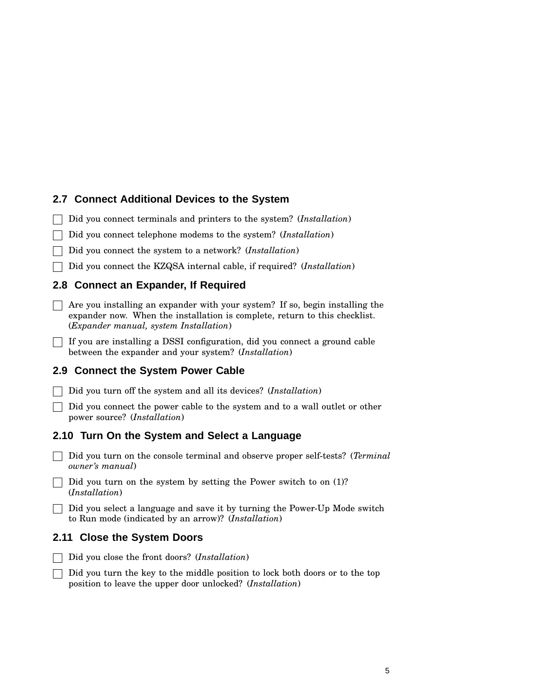## **2.7 Connect Additional Devices to the System**

Did you connect terminals and printers to the system? (*Installation*)

Did you connect telephone modems to the system? (*Installation*)

Did you connect the system to a network? (*Installation*)

Did you connect the KZQSA internal cable, if required? (*Installation*)

## **2.8 Connect an Expander, If Required**

 $\Box$  Are you installing an expander with your system? If so, begin installing the expander now. When the installation is complete, return to this checklist. (*Expander manual, system Installation*)

 $\Box$  If you are installing a DSSI configuration, did you connect a ground cable between the expander and your system? (*Installation*)

# **2.9 Connect the System Power Cable**

Did you turn off the system and all its devices? (*Installation*)

Did you connect the power cable to the system and to a wall outlet or other power source? (*Installation*)

## **2.10 Turn On the System and Select a Language**

Did you turn on the console terminal and observe proper self-tests? (*Terminal owner's manual*)

 $\Box$  Did you turn on the system by setting the Power switch to on (1)? (*Installation*)

Did you select a language and save it by turning the Power-Up Mode switch to Run mode (indicated by an arrow)? (*Installation*)

# **2.11 Close the System Doors**

Did you close the front doors? (*Installation*)

Did you turn the key to the middle position to lock both doors or to the top position to leave the upper door unlocked? (*Installation*)